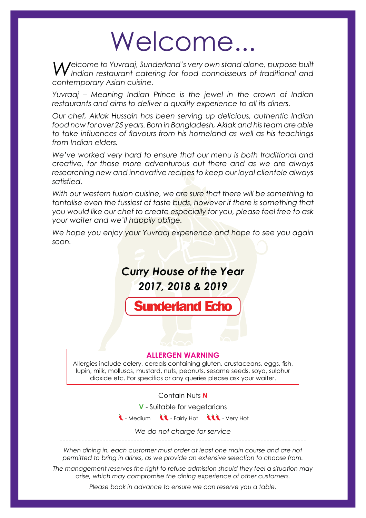# Welcome...

*Welcome to Yuvraaj, Sunderland's very own stand alone, purpose built Indian restaurant catering for food connoisseurs of traditional and contemporary Asian cuisine.* 

*Yuvraaj – Meaning Indian Prince is the jewel in the crown of Indian restaurants and aims to deliver a quality experience to all its diners.*

*Our chef, Aklak Hussain has been serving up delicious, authentic Indian food now for over 25 years. Born in Bangladesh, Aklak and histeam are able to take influences of flavours from his homeland as well as his teachings from Indian elders.*

*We've worked very hard to ensure that our menu is both traditional and creative, for those more adventurous out there and as we are always researching new and innovative recipes to keep our loyal clientele always satisfied.*

*With our western fusion cuisine, we are sure that there will be something to tantalise even the fussiest of taste buds, however if there is something that you would like our chef to create especially for you, please feel free to ask your waiter and we'll happily oblige.*

*We hope you enjoy your Yuvraaj experience and hope to see you again soon.*



#### **ALLERGEN WARNING**

Allergies include celery, cereals containing gluten, crustaceans, eggs, fish, lupin, milk, molluscs, mustard, nuts, peanuts, sesame seeds, soya, sulphur dioxide etc. For specifics or any queries please ask your waiter.

Contain Nuts *N* 

**V** - Suitable for vegetarians

 $\mathbf t$  - Medium  $\mathbf t$  - Fairly Hot  $\mathbf t$  - Very Hot

*We do not charge for service*

*When dining in, each customer must order at least one main course and are not permitted to bring in drinks, as we provide an extensive selection to choose from.*

*The management reserves the right to refuse admission should they feel a situation may arise, which may compromise the dining experience of other customers.* 

*Please book in advance to ensure we can reserve you a table.*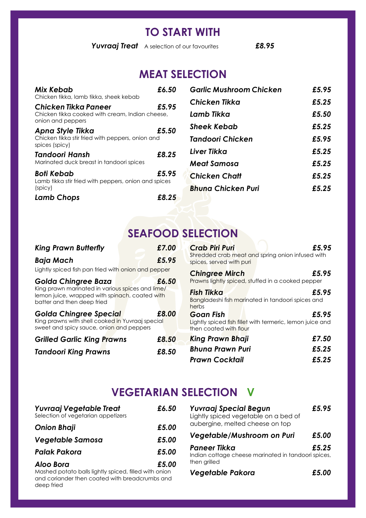### **TO START WITH**

*Yuvraaj Treat* A selection of our favourites *£8.95* 

# **MEAT SELECTION**

| Mix Kebab<br>Chicken tikka, lamb tikka, sheek kebab                                          | £6.50 |
|----------------------------------------------------------------------------------------------|-------|
| Chicken Tikka Paneer<br>Chicken tikka cooked with cream, Indian cheese,<br>onion and peppers | £5.95 |
| Apna Style Tikka<br>Chicken tikka stir fried with peppers, onion and<br>spices (spicy)       | £5.50 |
| Tandoori Hansh<br>Marinated duck breast in tandoori spices                                   | £8.25 |
| Boti Kebab<br>Lamb tikka stir fried with peppers, onion and spices<br>(spicy)                | £5.95 |
| <b>Lamb Chops</b>                                                                            | £8.25 |

| <b>Garlic Mushroom Chicken</b> | £5.95 |
|--------------------------------|-------|
| Chicken Tikka                  | £5.25 |
| Lamb Tikka                     | £5.50 |
| Sheek Kebab                    | £5.25 |
| Tandoori Chicken               | £5.95 |
| I iver Tikka                   | £5.25 |
| Meat Samosa                    | £5.25 |
| <b>Chicken Chatt</b>           | £5.25 |
| <b>Bhung Chicken Puri</b>      | £5.25 |
|                                |       |

### **SEAFOOD SELECTION**

### *King Prawn Butterfly £7.00 Baja Mach £5.95*

Lightly spiced fish pan fried with onion and pepper

| Lighting spices isni pair mea mini eriichi ana pepper |                      |
|-------------------------------------------------------|----------------------|
|                                                       |                      |
|                                                       | $\sim$ $\sim$ $\sim$ |

| Golda Chingree Baza                                                          |  | £6.50 |
|------------------------------------------------------------------------------|--|-------|
| King prawn marinated in various spices and lime/                             |  |       |
| lemon juice, wrapped with spinach, coated with<br>batter and then deep fried |  |       |
| <b>Golda Chingree Special</b>                                                |  | £8.00 |
| King prawns with shell cooked in Yuvraaj special                             |  |       |

sweet and spicy sauce, onion and peppers

| <b>Grilled Garlic King Prawns</b> | £8.50 |
|-----------------------------------|-------|
| <b>Tandoori King Prawns</b>       | £8.50 |

| <b>Crab Piri Puri</b>                      | £5.95                                                              |
|--------------------------------------------|--------------------------------------------------------------------|
|                                            | Shredded crab meat and spring onion infused with                   |
| spices, served with puri                   |                                                                    |
| <b>Chingree Mirch</b>                      | £5.95<br>Prawns lightly spiced, stuffed in a cooked pepper         |
| <b>Fish Tikka</b><br>herbs                 | £5.95<br>Bangladeshi fish marinated in tandoori spices and         |
| <b>Goan Fish</b><br>then coated with flour | £5.95<br>Lightly spiced fish fillet with termeric, lemon juice and |

| <b>King Prawn Bhaji</b> | £7.50 |
|-------------------------|-------|
| <b>Bhuna Prawn Puri</b> | £5.25 |
| <b>Prawn Cocktail</b>   | £5.25 |

# **VEGETARIAN SELECTION V**

| Yuvraaj Vegetable Treat<br>Selection of vegetarian appetizers | £6.50 |
|---------------------------------------------------------------|-------|
| <b>Onion Bhaji</b>                                            | £5.00 |
| Vegetable Samosa                                              | £5.00 |
| <b>Palak Pakora</b>                                           | £5.00 |
| Aloo Bora                                                     | £5.00 |

Mashed potato balls lightly spiced, filled with onion and coriander then coated with breadcrumbs and deep fried

| Yuvraaj Special Begun<br>Lightly spiced vegetable on a bed of<br>aubergine, melted cheese on top | £5.95 |
|--------------------------------------------------------------------------------------------------|-------|
| Vegetable/Mushroom on Puri                                                                       | £5.00 |
| Paneer Tikka<br>Indian cottage cheese marinated in tandoori spices,<br>then grilled              | £5.25 |
| <b>Vegetable Pakora</b>                                                                          | £5.00 |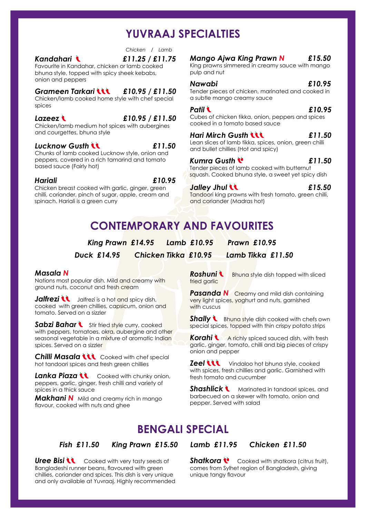# **YUVRAAJ SPECIALTIES**

 *£11.25 / £11.75 Chicken / Lamb*

#### *Kandahari*

Favourite in Kandahar, chicken or lamb cooked bhuna style, topped with spicy sheek kebabs, onion and peppers

#### *Grameen Tarkari £10.95 / £11.50*

Chicken/lamb cooked home style with chef special spices

#### *Lazeez £10.95 / £11.50*

Chicken/lamb medium hot spices with aubergines and courgettes, bhuna style

#### *Lucknow Gusth £11.50*

Chunks of lamb cooked Lucknow style, onion and peppers, covered in a rich tamarind and tomato based sauce (Fairly hot)

#### *Hariali*

*£10.95*

Chicken breast cooked with garlic, ginger, green chilli, coriander, pinch of sugar, apple, cream and spinach. Hariali is a green curry

#### *Mango Ajwa King Prawn N £15.50*

King prawns simmered in creamy sauce with mango pulp and nut

#### *Nawabi £10.95*

Tender pieces of chicken, marinated and cooked in a subtle mango creamy sauce

#### *Patil*

#### *£10.95*

Cubes of chicken tikka, onion, peppers and spices cooked in a tomato based sauce

#### *Hari Mirch Gusth £11.50*

Lean slices of lamb tikka, spices, onion, green chilli and bullet chillies (Hot and spicy)

#### *£11.50*

Tender pieces of lamb cooked with butternut squash. Cooked bhuna style, a sweet yet spicy dish

*Jalley Jhul* 

*Kumra Gusth* 

*£15.50*

Tandoori king prawns with fresh tomato, green chilli, and coriander (Madras hot)

# **CONTEMPORARY AND FAVOURITES**

*King Prawn £14.95 Lamb £10.95 Prawn £10.95* 

*Duck £14.95 Chicken Tikka £10.95 Lamb Tikka £11.50*

#### *Masala N*

Nations most popular dish. Mild and creamy with ground nuts, coconut and fresh cream

Jalfrezi **\\** Jalfrezi is a hot and spicy dish, cooked with green chillies, capsicum, onion and tomato. Served on a sizzler

Sabzi Bahar **Stir fried style curry, cooked** with peppers, tomatoes, okra, aubergine and other seasonal vegetable in a mixture of aromatic Indian spices. Served on a sizzler

**Chilli Masala LLL** Cooked with chef special hot tandoori spices and fresh green chillies

**Lanka Piaza U** Cooked with chunky onion, peppers, garlic, ginger, fresh chilli and variety of spices in a thick sauce

*Makhani N* Mild and creamy rich in mango flavour, cooked with nuts and ghee

**Roshuni b** Bhuna style dish topped with sliced fried garlic

**Pasanda N** Creamy and mild dish containing very light spices, yoghurt and nuts, garnished with cuscus

**Shally C** Bhuna style dish cooked with chefs own special spices, topped with thin crispy potato strips

**Korahi A** richly spiced sauced dish, with fresh garlic, ginger, tomato, chilli and big pieces of crispy onion and pepper

**Zeel LLL** Vindaloo hot bhuna style, cooked with spices, fresh chillies and garlic. Garnished with fresh tomato and cucumber

**Shashlick \**Marinated in tandoori spices, and barbecued on a skewer with tomato, onion and pepper. Served with salad

# **BENGALI SPECIAL**

#### *Fish £11.50 King Prawn £15.50 Lamb £11.95 Chicken £11.50*

**Uree Bisi LL** Cooked with very tasty seeds of Bangladeshi runner beans, flavoured with green chillies, coriander and spices. This dish is very unique and only available at Yuvraaj. Highly recommended

**Shatkora <b>C** Cooked with shatkora (citrus fruit), comes from Sylhet region of Bangladesh, giving unique tangy flavour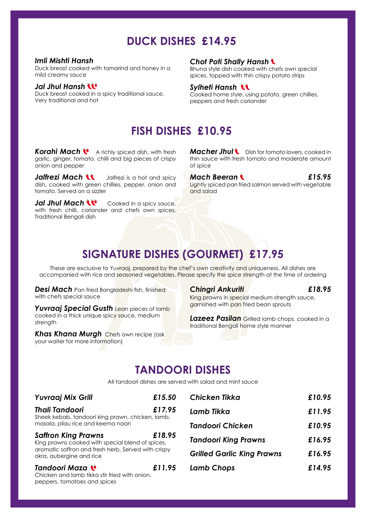# **DUCK DISHES £14.95**

#### *Imli Mishti Hansh*

Duck breast cooked with tamarind and honey in a mild creamy sauce

#### *Jal Jhul Hansh*

Duck breast cooked in a spicy traditional sauce. Very traditional and hot

#### *Chot Poti Shally Hansh*

Bhuna style dish cooked with chefs own special spices, topped with thin crispy potato strips

#### *Sylheti Hansh*

Cooked home style, using potato, green chillies, peppers and fresh coriander

### **FISH DISHES £10.95**

**Korahi Mach <b>V** A richly spiced dish, with fresh garlic, ginger, tomato, chilli and big pieces of crispy onion and pepper

*Jalfrezi Mach* **J**ulfrezi is a hot and spicy dish, cooked with green chillies, pepper, onion and tomato. Served on a sizzler

**Jal Jhul Mach LU** Cooked in a spicy sauce, with fresh chilli, coriander and chefs own spices. Traditional Bengali dish

*Macher Jhul* **C** Dish for tomato lovers, cooked in thin sauce with fresh tomato and moderate amount of spice

*Mach Beeran £15.95* Lightly spiced pan fried salmon served with vegetable and salad

# **SIGNATURE DISHES (GOURMET) £17.95**

These are exclusive to Yuvraaj, prepared by the chef's own creativity and uniqueness. All dishes are accompanied with rice and seasoned vegetables. Please specify the spice strength at the time of ordering

*Desi Mach* Pan fried Bangladeshi fish, finished with chefs special sauce

*Yuvraaj Special Gusth* Lean pieces of lamb cooked in a thick unique spicy sauce, medium strength

*Khas Khana Murgh* Chefs own recipe (ask your waiter for more information)

#### *Chingri Ankuriti £18.95*

King prawns in special medium strength sauce, garnished with pan fried bean sprouts

*Lazeez Pasilan* Grilled lamb chops, cooked in a traditional Bengali home style manner

### **TANDOORI DISHES**

All tandoori dishes are served with salad and mint sauce

| <b>Yuvraaj Mix Grill</b>                                                                                                                                          | £15.50 |
|-------------------------------------------------------------------------------------------------------------------------------------------------------------------|--------|
| <b>Thali Tandoori</b><br>Sheek kebab, tandoori king prawn, chicken, lamb,<br>masala, pilau rice and keema naan                                                    | £17.95 |
| <b>Saffron King Prawns</b><br>King prawns cooked with special blend of spices,<br>aromatic saffron and fresh herb. Served with crispy<br>okra, aubergine and rice | £18.95 |
| Tandoori Maza<br>Chicken and lamb tikka stir fried with onion.<br>peppers, tomatoes and spices                                                                    | £11.95 |

| Chicken Tikka                     | £10.95 |
|-----------------------------------|--------|
| Lamb Tikka                        | £11.95 |
| Tandoori Chicken                  | £10.95 |
| <b>Tandoori King Prawns</b>       | £16.95 |
| <b>Grilled Garlic King Prawns</b> | £16.95 |
| Lamb Chops                        | £14.95 |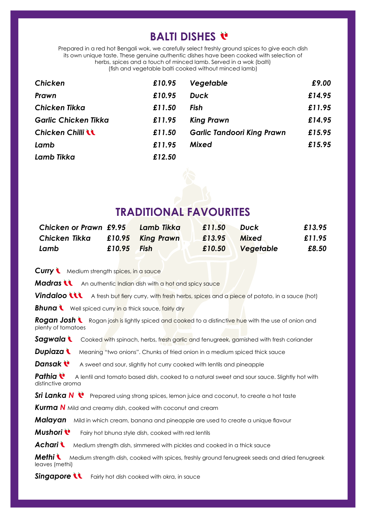# **BALTI DISHES**

Prepared in a red hot Bengali wok, we carefully select freshly ground spices to give each dish its own unique taste. These genuine authentic dishes have been cooked with selection of herbs, spices and a touch of minced lamb. Served in a wok (balti) (fish and vegetable balti cooked without minced lamb)

| <b>Chicken</b>              | £10.95 | Vegetable                         | £9.00  |
|-----------------------------|--------|-----------------------------------|--------|
| Prawn                       | £10.95 | <b>Duck</b>                       | £14.95 |
| <b>Chicken Tikka</b>        | £11.50 | <b>Fish</b>                       | £11.95 |
| <b>Garlic Chicken Tikka</b> | £11.95 | <b>King Prawn</b>                 | £14.95 |
| <b>Chicken Chilli LL</b>    | £11.50 | <b>Garlic Tandoori King Prawn</b> | £15.95 |
| Lamb                        | £11.95 | <b>Mixed</b>                      | £15.95 |
| Lamb Tikka                  | £12.50 |                                   |        |



### **TRADITIONAL FAVOURITES**

| <b>Chicken or Prawn £9.95</b> |               | Lamb Tikka        | £11.50 | <b>Duck</b>  | £13.95 |
|-------------------------------|---------------|-------------------|--------|--------------|--------|
| Chicken Tikka                 |               | £10.95 King Prawn | £13.95 | <b>Mixed</b> | £11.95 |
| Lamb                          | $£10.95$ Fish |                   | £10.50 | Vegetable    | £8.50  |

**Curry \** Medium strength spices, in a sauce

**Madras U** An authentic Indian dish with a hot and spicy sauce

**Vindaloo LLL** A fresh but fiery curry, with fresh herbs, spices and a piece of potato, in a sauce (hot)

**Bhuna Well spiced curry in a thick sauce, fairly dry** 

**Rogan Josh** Rogan josh is lightly spiced and cooked to a distinctive hue with the use of onion and plenty of tomatoes

**Sagwala** Cooked with spinach, herbs, fresh garlic and fenugreek, garnished with fresh coriander

**Dupiaza \** Meaning "two onions". Chunks of fried onion in a medium spiced thick sauce

**Dansak A** sweet and sour, slightly hot curry cooked with lentils and pineapple

**Pathia C** A lentil and tomato based dish, cooked to a natural sweet and sour sauce. Slightly hot with distinctive aroma

**Sri Lanka N** Prepared using strong spices, lemon juice and coconut, to create a hot taste

*Kurma N* Mild and creamy dish, cooked with coconut and cream

**Malayan** Mild in which cream, banana and pineapple are used to create a unique flavour

**Mushori** <sup>t</sup> Fairy hot bhuna style dish, cooked with red lentils

Achari **C** Medium strength dish, simmered with pickles and cooked in a thick sauce

**Methi Wedium strength dish, cooked with spices, freshly ground fenugreek seeds and dried fenugreek** leaves (methi)

**Singapore LL** Fairly hot dish cooked with okra, in sauce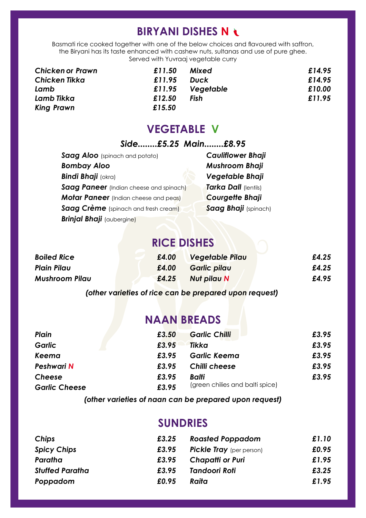# **BIRYANI DISHES N**

Basmati rice cooked together with one of the below choices and flavoured with saffron, the Biryani has its taste enhanced with cashew nuts, sultanas and use of pure ghee. Served with Yuvraaj vegetable curry

| Chicken or Prawn | £11.50 | Mixed       | £14.95 |
|------------------|--------|-------------|--------|
| Chicken Tikka    | £11.95 | <b>Duck</b> | £14.95 |
| Lamb             | £11.95 | Vegetable   | £10.00 |
| Lamb Tikka       | £12.50 | Fish        | £11.95 |
| King Prawn       | £15.50 |             |        |

### **VEGETABLE V**

### *Side........£5.25 Main........£8.95*

| Saag Aloo (spinach and potato)          |
|-----------------------------------------|
| <b>Bombay Aloo</b>                      |
| <b>Bindi Bhaji</b> (okra)               |
| Saag Paneer (Indian cheese and spinach) |
| Motar Paneer (Indian cheese and peas)   |
| Saag Crème (spinach and fresh cream)    |
| <b>Brinjal Bhaji</b> (aubergine)        |

*Cauliflower Bhaji Mushroom Bhaji Vegetable Bhaji*  **Tarka Dall (lentils)** *Courgette Bhaji*  **Saag Bhaji** (spinach)

## **RICE DISHES**

| <b>Boiled Rice</b>    | £4.00 | Vegetable Pilau | £4.25 |
|-----------------------|-------|-----------------|-------|
| <b>Plain Pilau</b>    | £4.00 | Garlic pilau    | £4.25 |
| <b>Mushroom Pilau</b> | £4.25 | Nut pilau N     | £4.95 |

*(other varieties of rice can be prepared upon request)* 

# **NAAN BREADS**

| Plain                | £3.50 | <b>Garlic Chilli</b>            | £3.95 |
|----------------------|-------|---------------------------------|-------|
| Garlic               | £3.95 | <b>Tikka</b>                    | £3.95 |
| Keema                | £3.95 | <b>Garlic Keema</b>             | £3.95 |
| <b>Peshwari N</b>    | £3.95 | Chilli cheese                   | £3.95 |
| <b>Cheese</b>        | £3.95 | <b>Balti</b>                    | £3.95 |
| <b>Garlic Cheese</b> | £3.95 | (green chilies and balti spice) |       |

*(other varieties of naan can be prepared upon request)* 

### **SUNDRIES**

| Chips                  | £3.25 | <b>Roasted Poppadom</b>         | £1.10 |
|------------------------|-------|---------------------------------|-------|
| <b>Spicy Chips</b>     | £3.95 | <b>Pickle Tray</b> (per person) | £0.95 |
| Paratha                | £3.95 | <b>Chapatti or Puri</b>         | £1.95 |
| <b>Stuffed Paratha</b> | £3.95 | Tandoori Roti                   | £3.25 |
| Poppadom               | £0.95 | Raita                           | £1.95 |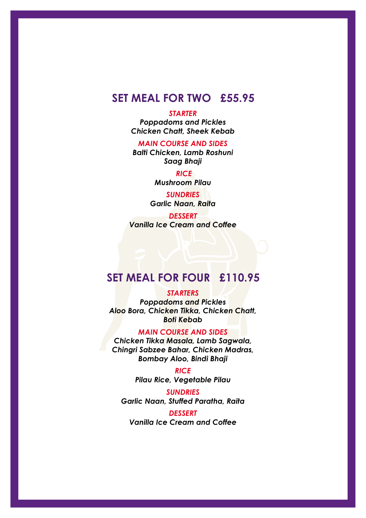### **SET MEAL FOR TWO £55.95**

#### *STARTER*

*Poppadoms and Pickles Chicken Chatt, Sheek Kebab* 

*MAIN COURSE AND SIDES*

*Balti Chicken, Lamb Roshuni Saag Bhaji*

> *RICE Mushroom Pilau*

*SUNDRIES Garlic Naan, Raita* 

*DESSERT Vanilla Ice Cream and Coffee*

### **SET MEAL FOR FOUR £110.95**

#### *STARTERS*

*Poppadoms and Pickles Aloo Bora, Chicken Tikka, Chicken Chatt, Boti Kebab* 

#### *MAIN COURSE AND SIDES*

*Chicken Tikka Masala, Lamb Sagwala, Chingri Sabzee Bahar, Chicken Madras, Bombay Aloo, Bindi Bhaji* 

> *RICE Pilau Rice, Vegetable Pilau*

*SUNDRIES Garlic Naan, Stuffed Paratha, Raita* 

*DESSERT Vanilla Ice Cream and Coffee*